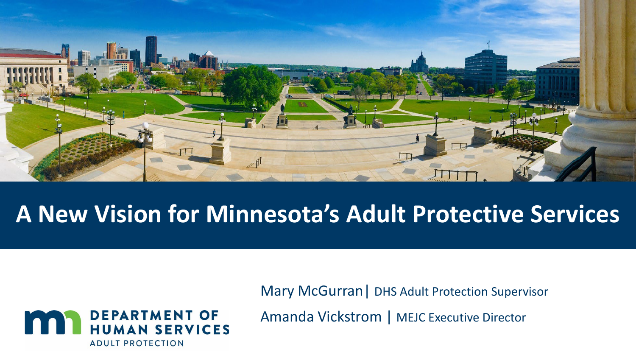

# **A New Vision for Minnesota's Adult Protective Services**



Mary McGurran| DHS Adult Protection Supervisor

Amanda Vickstrom | MEJC Executive Director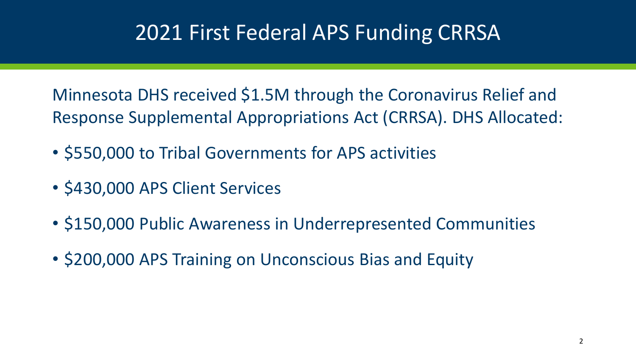## 2021 First Federal APS Funding CRRSA

Minnesota DHS received \$1.5M through the Coronavirus Relief and Response Supplemental Appropriations Act (CRRSA). DHS Allocated:

- \$550,000 to Tribal Governments for APS activities
- \$430,000 APS Client Services
- \$150,000 Public Awareness in Underrepresented Communities
- \$200,000 APS Training on Unconscious Bias and Equity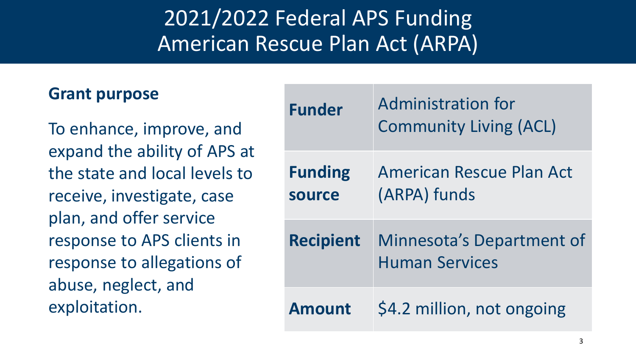# 2021/2022 Federal APS Funding American Rescue Plan Act (ARPA)

#### **Grant purpose**

To enhance, improve, and expand the ability of APS at the state and local levels to receive, investigate, case plan, and offer service response to APS clients in response to allegations of abuse, neglect, and exploitation.

| <b>Funder</b>                   | <b>Administration for</b><br><b>Community Living (ACL)</b> |
|---------------------------------|------------------------------------------------------------|
| <b>Funding</b><br><b>source</b> | American Rescue Plan Act<br>(ARPA) funds                   |
| <b>Recipient</b>                | Minnesota's Department of<br><b>Human Services</b>         |
| <b>Amount</b>                   | \$4.2 million, not ongoing                                 |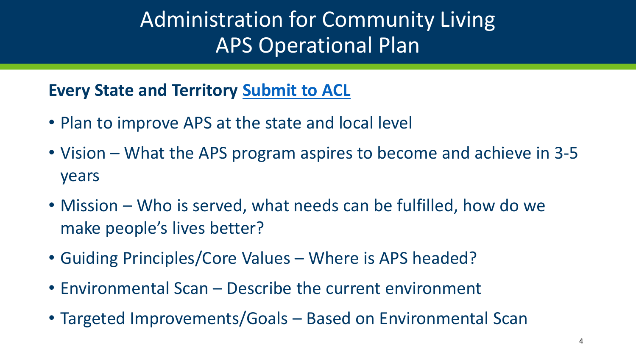## Administration for Community Living APS Operational Plan

**Every State and Territory [Submit to ACL](https://acl.gov/grants/elder-justice-mandatory-grants)**

- Plan to improve APS at the state and local level
- Vision What the APS program aspires to become and achieve in 3-5 years
- Mission Who is served, what needs can be fulfilled, how do we make people's lives better?
- Guiding Principles/Core Values Where is APS headed?
- Environmental Scan Describe the current environment
- Targeted Improvements/Goals Based on Environmental Scan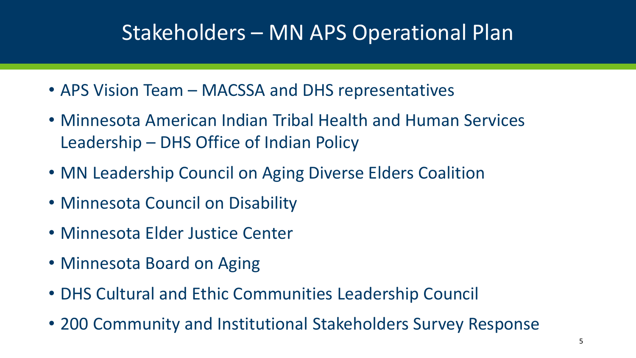## Stakeholders – MN APS Operational Plan

- APS Vision Team MACSSA and DHS representatives
- Minnesota American Indian Tribal Health and Human Services Leadership – DHS Office of Indian Policy
- MN Leadership Council on Aging Diverse Elders Coalition
- Minnesota Council on Disability
- Minnesota Elder Justice Center
- Minnesota Board on Aging
- DHS Cultural and Ethic Communities Leadership Council
- 200 Community and Institutional Stakeholders Survey Response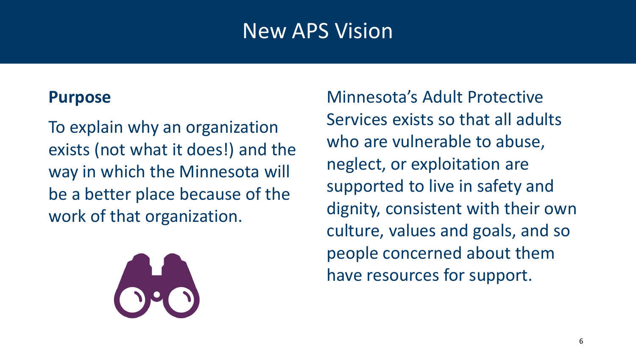#### New APS Vision

#### **Purpose**

To explain why an organization exists (not what it does!) and the way in which the Minnesota will be a better place because of the work of that organization.



Minnesota's Adult Protective Services exists so that all adults who are vulnerable to abuse, neglect, or exploitation are supported to live in safety and dignity, consistent with their own culture, values and goals, and so people concerned about them have resources for support.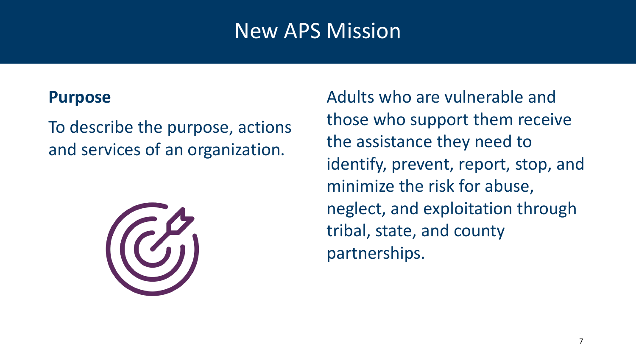## New APS Mission

#### **Purpose**

To describe the purpose, actions and services of an organization.



Adults who are vulnerable and those who support them receive the assistance they need to identify, prevent, report, stop, and minimize the risk for abuse, neglect, and exploitation through tribal, state, and county partnerships.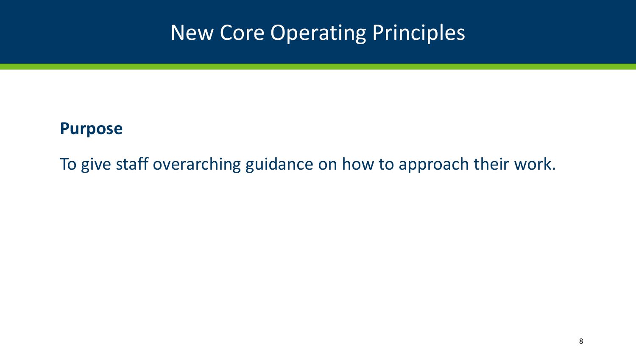## New Core Operating Principles

#### **Purpose**

To give staff overarching guidance on how to approach their work.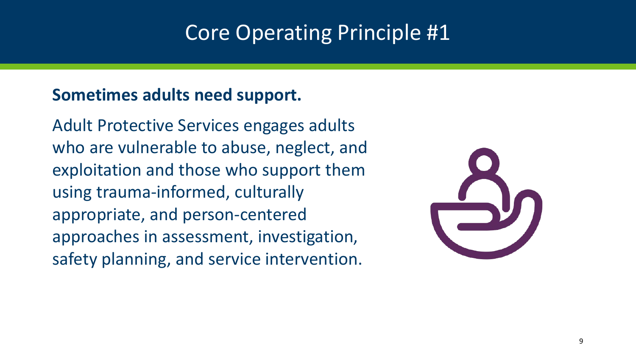#### Core Operating Principle #1

#### **Sometimes adults need support.**

Adult Protective Services engages adults who are vulnerable to abuse, neglect, and exploitation and those who support them using trauma-informed, culturally appropriate, and person-centered approaches in assessment, investigation, safety planning, and service intervention.

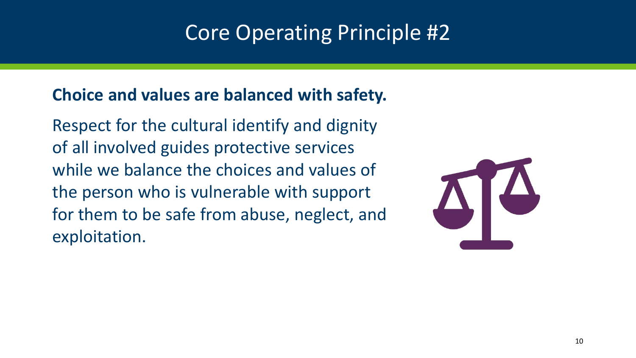## Core Operating Principle #2

#### **Choice and values are balanced with safety.**

Respect for the cultural identify and dignity of all involved guides protective services while we balance the choices and values of the person who is vulnerable with support for them to be safe from abuse, neglect, and exploitation.

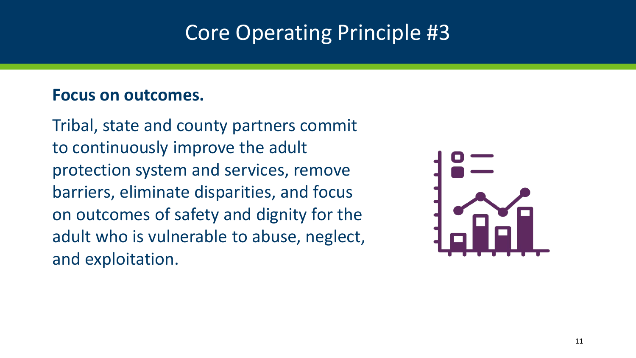## Core Operating Principle #3

#### **Focus on outcomes.**

Tribal, state and county partners commit to continuously improve the adult protection system and services, remove barriers, eliminate disparities, and focus on outcomes of safety and dignity for the adult who is vulnerable to abuse, neglect, and exploitation.

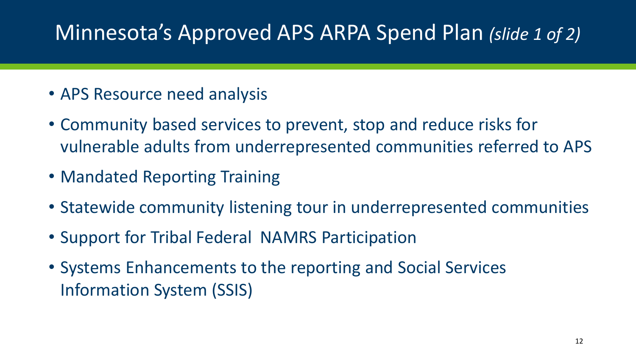## Minnesota's Approved APS ARPA Spend Plan *(slide 1 of 2)*

- APS Resource need analysis
- Community based services to prevent, stop and reduce risks for vulnerable adults from underrepresented communities referred to APS
- Mandated Reporting Training
- Statewide community listening tour in underrepresented communities
- Support for Tribal Federal NAMRS Participation
- Systems Enhancements to the reporting and Social Services Information System (SSIS)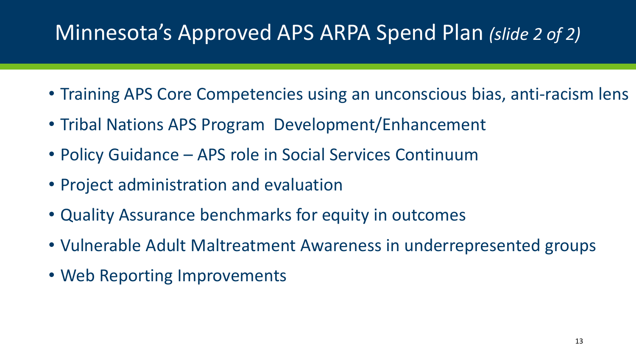## Minnesota's Approved APS ARPA Spend Plan *(slide 2 of 2)*

- Training APS Core Competencies using an unconscious bias, anti-racism lens
- Tribal Nations APS Program Development/Enhancement
- Policy Guidance APS role in Social Services Continuum
- Project administration and evaluation
- Quality Assurance benchmarks for equity in outcomes
- Vulnerable Adult Maltreatment Awareness in underrepresented groups
- Web Reporting Improvements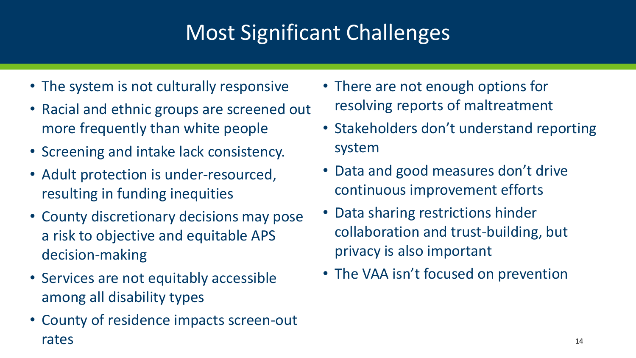# Most Significant Challenges

- The system is not culturally responsive
- Racial and ethnic groups are screened out more frequently than white people
- Screening and intake lack consistency.
- Adult protection is under-resourced, resulting in funding inequities
- County discretionary decisions may pose a risk to objective and equitable APS decision-making
- Services are not equitably accessible among all disability types
- County of residence impacts screen-out rates
- There are not enough options for resolving reports of maltreatment
- Stakeholders don't understand reporting system
- Data and good measures don't drive continuous improvement efforts
- Data sharing restrictions hinder collaboration and trust-building, but privacy is also important
- The VAA isn't focused on prevention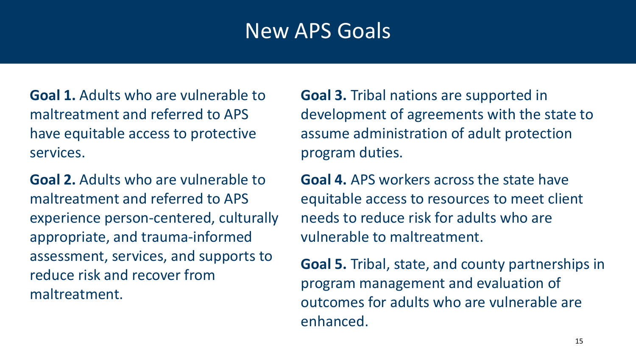#### New APS Goals

**Goal 1.** Adults who are vulnerable to maltreatment and referred to APS have equitable access to protective services.

**Goal 2.** Adults who are vulnerable to maltreatment and referred to APS experience person-centered, culturally appropriate, and trauma-informed assessment, services, and supports to reduce risk and recover from maltreatment.

**Goal 3.** Tribal nations are supported in development of agreements with the state to assume administration of adult protection program duties.

**Goal 4.** APS workers across the state have equitable access to resources to meet client needs to reduce risk for adults who are vulnerable to maltreatment.

**Goal 5.** Tribal, state, and county partnerships in program management and evaluation of outcomes for adults who are vulnerable are enhanced.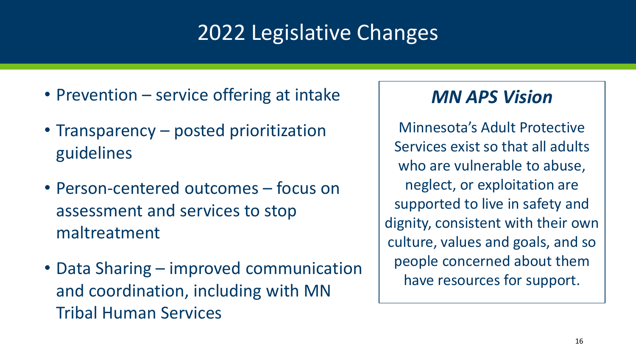# 2022 Legislative Changes

- Prevention service offering at intake
- Transparency posted prioritization guidelines
- Person-centered outcomes focus on assessment and services to stop maltreatment
- Data Sharing improved communication and coordination, including with MN Tribal Human Services

#### *MN APS Vision*

Minnesota's Adult Protective Services exist so that all adults who are vulnerable to abuse, neglect, or exploitation are supported to live in safety and dignity, consistent with their own culture, values and goals, and so people concerned about them have resources for support.